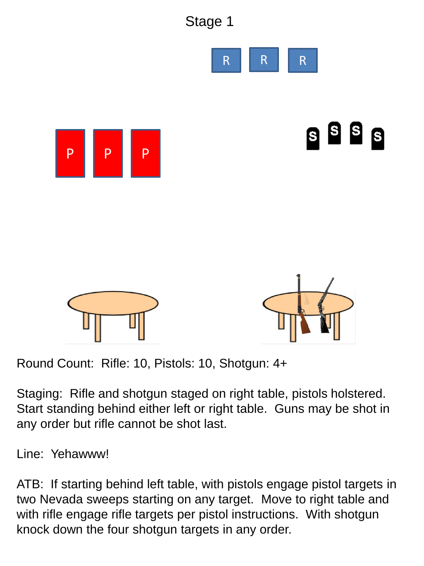

Round Count: Rifle: 10, Pistols: 10, Shotgun: 4+

Staging: Rifle and shotgun staged on right table, pistols holstered. Start standing behind either left or right table. Guns may be shot in any order but rifle cannot be shot last.

Line: Yehawww!

ATB: If starting behind left table, with pistols engage pistol targets in two Nevada sweeps starting on any target. Move to right table and with rifle engage rifle targets per pistol instructions. With shotgun knock down the four shotgun targets in any order.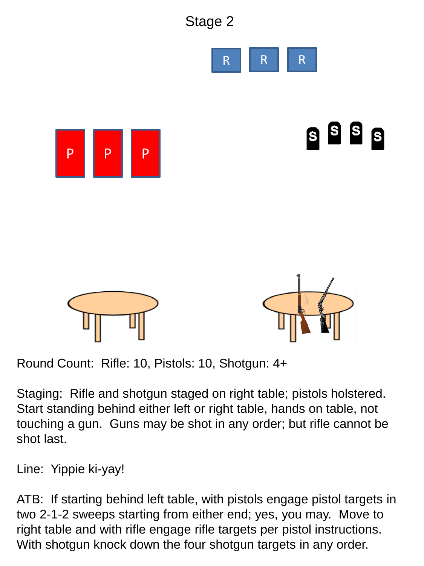

Round Count: Rifle: 10, Pistols: 10, Shotgun: 4+

Staging: Rifle and shotgun staged on right table; pistols holstered. Start standing behind either left or right table, hands on table, not touching a gun. Guns may be shot in any order; but rifle cannot be shot last.

Line: Yippie ki-yay!

ATB: If starting behind left table, with pistols engage pistol targets in two 2-1-2 sweeps starting from either end; yes, you may. Move to right table and with rifle engage rifle targets per pistol instructions. With shotgun knock down the four shotgun targets in any order.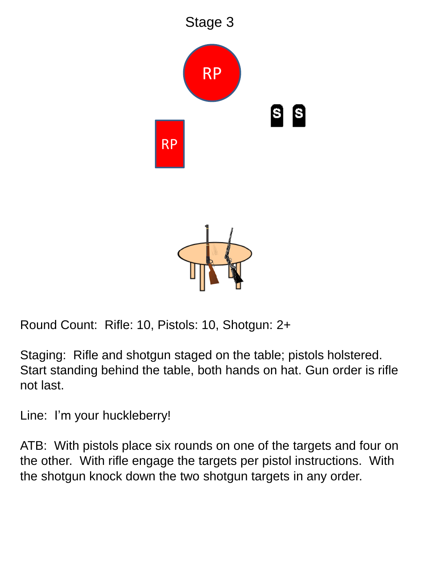

Round Count: Rifle: 10, Pistols: 10, Shotgun: 2+

Staging: Rifle and shotgun staged on the table; pistols holstered. Start standing behind the table, both hands on hat. Gun order is rifle not last.

Line: I'm your huckleberry!

ATB: With pistols place six rounds on one of the targets and four on the other. With rifle engage the targets per pistol instructions. With the shotgun knock down the two shotgun targets in any order.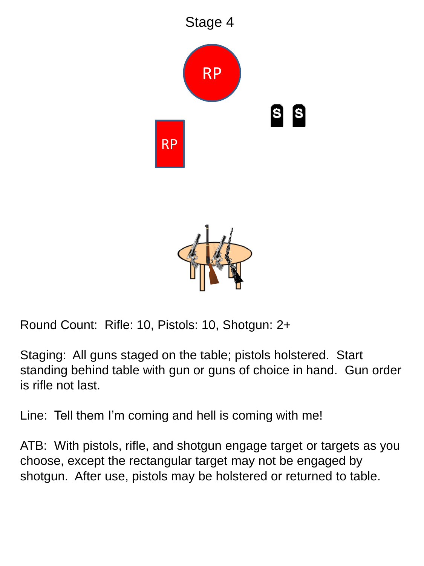

Round Count: Rifle: 10, Pistols: 10, Shotgun: 2+

Staging: All guns staged on the table; pistols holstered. Start standing behind table with gun or guns of choice in hand. Gun order is rifle not last.

Line: Tell them I'm coming and hell is coming with me!

ATB: With pistols, rifle, and shotgun engage target or targets as you choose, except the rectangular target may not be engaged by shotgun. After use, pistols may be holstered or returned to table.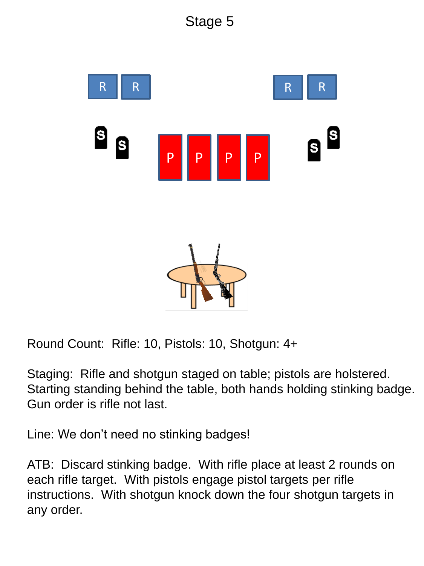

Round Count: Rifle: 10, Pistols: 10, Shotgun: 4+

Staging: Rifle and shotgun staged on table; pistols are holstered. Starting standing behind the table, both hands holding stinking badge. Gun order is rifle not last.

Line: We don't need no stinking badges!

ATB: Discard stinking badge. With rifle place at least 2 rounds on each rifle target. With pistols engage pistol targets per rifle instructions. With shotgun knock down the four shotgun targets in any order.